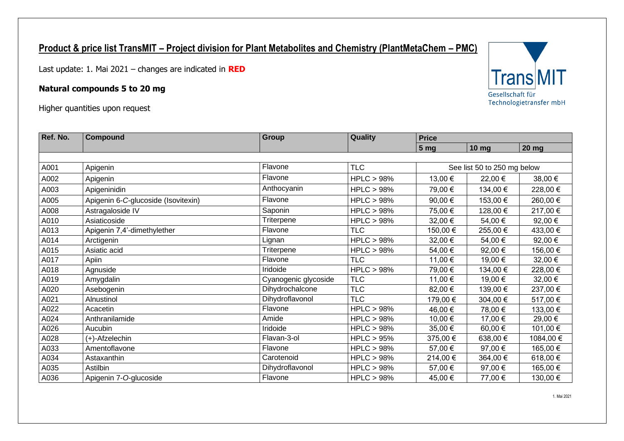## **Product & price list TransMIT – Project division for Plant Metabolites and Chemistry (PlantMetaChem – PMC)**

Last update: 1. Mai 2021 – changes are indicated in **RED**

## **Natural compounds 5 to 20 mg**

Higher quantities upon request

| Ref. No. | <b>Compound</b>                     | <b>Group</b>         | Quality              | <b>Price</b>    |                             |              |  |
|----------|-------------------------------------|----------------------|----------------------|-----------------|-----------------------------|--------------|--|
|          |                                     |                      |                      | 5 <sub>mg</sub> | $10$ mg                     | <b>20 mg</b> |  |
|          |                                     |                      |                      |                 |                             |              |  |
| A001     | Apigenin                            | Flavone              | <b>TLC</b>           |                 | See list 50 to 250 mg below |              |  |
| A002     | Apigenin                            | Flavone              | HPLC > 98%           | 13,00 €         | 22,00 €                     | 38,00 €      |  |
| A003     | Apigeninidin                        | Anthocyanin          | <b>HPLC &gt; 98%</b> | 79,00 €         | 134,00 €                    | 228,00 €     |  |
| A005     | Apigenin 6-C-glucoside (Isovitexin) | Flavone              | HPLC > 98%           | 90,00 €         | 153,00 €                    | 260,00 €     |  |
| A008     | Astragaloside IV                    | Saponin              | HPLC > 98%           | 75,00 €         | 128,00 €                    | 217,00 €     |  |
| A010     | Asiaticoside                        | Triterpene           | HPLC > 98%           | 32,00 €         | 54,00 €                     | 92,00 €      |  |
| A013     | Apigenin 7,4'-dimethylether         | Flavone              | <b>TLC</b>           | 150,00 €        | 255,00€                     | 433,00 €     |  |
| A014     | Arctigenin                          | Lignan               | HPLC > 98%           | 32,00 €         | 54,00€                      | 92,00 €      |  |
| A015     | Asiatic acid                        | Triterpene           | HPLC > 98%           | 54,00 €         | 92,00 €                     | 156,00 €     |  |
| A017     | Apiin                               | Flavone              | <b>TLC</b>           | 11,00 €         | 19,00 €                     | 32,00 €      |  |
| A018     | Agnuside                            | Iridoide             | HPLC > 98%           | 79,00 €         | 134,00 €                    | 228,00 €     |  |
| A019     | Amygdalin                           | Cyanogenic glycoside | <b>TLC</b>           | 11,00 €         | 19,00 €                     | 32,00 €      |  |
| A020     | Asebogenin                          | Dihydrochalcone      | <b>TLC</b>           | 82,00 €         | 139,00 €                    | 237,00 €     |  |
| A021     | Alnustinol                          | Dihydroflavonol      | <b>TLC</b>           | 179,00 €        | 304,00 €                    | 517,00 €     |  |
| A022     | Acacetin                            | Flavone              | HPLC > 98%           | 46,00 €         | 78,00 €                     | 133,00 €     |  |
| A024     | Anthranilamide                      | Amide                | HPLC > 98%           | 10,00 €         | 17,00 €                     | 29,00 €      |  |
| A026     | Aucubin                             | Iridoide             | HPLC > 98%           | 35,00 €         | 60,00 €                     | 101,00 €     |  |
| A028     | $(+)$ -Afzelechin                   | Flavan-3-ol          | HPLC > 95%           | 375,00 €        | 638,00€                     | 1084,00 €    |  |
| A033     | Amentoflavone                       | Flavone              | HPLC > 98%           | 57,00 €         | 97,00€                      | 165,00 €     |  |
| A034     | Astaxanthin                         | Carotenoid           | HPLC > 98%           | 214,00 €        | 364,00 €                    | 618,00 €     |  |
| A035     | Astilbin                            | Dihydroflavonol      | <b>HPLC &gt; 98%</b> | 57,00 €         | 97,00 €                     | 165,00 €     |  |
| A036     | Apigenin 7-O-glucoside              | Flavone              | HPLC > 98%           | 45,00 €         | 77,00 €                     | 130,00 €     |  |

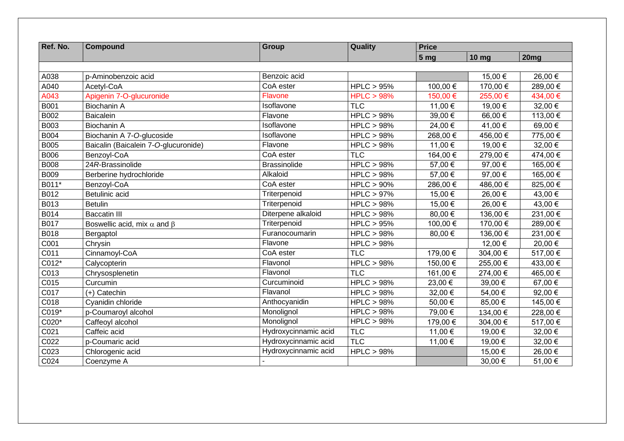| Ref. No.    | Compound                                 | <b>Group</b>         | Quality    | <b>Price</b>    |                  |                  |  |
|-------------|------------------------------------------|----------------------|------------|-----------------|------------------|------------------|--|
|             |                                          |                      |            | 5 <sub>mg</sub> | 10 <sub>mg</sub> | 20 <sub>mg</sub> |  |
|             |                                          |                      |            |                 |                  |                  |  |
| A038        | p-Aminobenzoic acid                      | Benzoic acid         |            |                 | 15,00 €          | 26,00 €          |  |
| A040        | Acetyl-CoA                               | CoA ester            | HPLC > 95% | 100,00 €        | 170,00 €         | 289,00€          |  |
| A043        | Apigenin 7-O-glucuronide                 | Flavone              | HPLC > 98% | 150,00 €        | 255,00€          | 434,00 €         |  |
| <b>B001</b> | Biochanin A                              | Isoflavone           | <b>TLC</b> | 11,00 €         | 19,00 €          | 32,00 €          |  |
| B002        | <b>Baicalein</b>                         | Flavone              | HPLC > 98% | 39,00 €         | 66,00 €          | 113,00 €         |  |
| <b>B003</b> | <b>Biochanin A</b>                       | Isoflavone           | HPLC > 98% | 24,00 €         | 41,00 €          | 69,00€           |  |
| <b>B004</b> | Biochanin A 7-O-glucoside                | Isoflavone           | HPLC > 98% | 268,00€         | 456,00€          | 775,00 €         |  |
| <b>B005</b> | Baicalin (Baicalein 7-O-glucuronide)     | Flavone              | HPLC > 98% | 11,00 €         | 19,00 €          | 32,00 €          |  |
| <b>B006</b> | Benzoyl-CoA                              | CoA ester            | <b>TLC</b> | 164,00 €        | 279,00€          | 474,00 €         |  |
| <b>B008</b> | 24R-Brassinolide                         | <b>Brassinolide</b>  | HPLC > 98% | 57,00 €         | 97,00 €          | 165,00 €         |  |
| <b>B009</b> | Berberine hydrochloride                  | Alkaloid             | HPLC > 98% | 57,00 €         | 97,00€           | 165,00 €         |  |
| B011*       | Benzoyl-CoA                              | CoA ester            | HPLC > 90% | 286,00€         | 486,00 €         | 825,00€          |  |
| B012        | Betulinic acid                           | Triterpenoid         | HPLC > 97% | 15,00 €         | 26,00 €          | 43,00 €          |  |
| B013        | <b>Betulin</b>                           | Triterpenoid         | HPLC > 98% | 15,00 €         | 26,00 €          | 43,00 €          |  |
| B014        | <b>Baccatin III</b>                      | Diterpene alkaloid   | HPLC > 98% | 80,00€          | 136,00 €         | 231,00 €         |  |
| B017        | Boswellic acid, mix $\alpha$ and $\beta$ | Triterpenoid         | HPLC > 95% | 100,00 €        | 170,00 €         | 289,00€          |  |
| B018        | Bergaptol                                | Furanocoumarin       | HPLC > 98% | 80,00€          | 136,00 €         | 231,00 €         |  |
| C001        | Chrysin                                  | Flavone              | HPLC > 98% |                 | 12,00 €          | 20,00€           |  |
| C011        | Cinnamoyl-CoA                            | CoA ester            | <b>TLC</b> | 179,00 €        | 304,00€          | 517,00 €         |  |
| C012*       | Calycopterin                             | Flavonol             | HPLC > 98% | 150,00 €        | 255,00€          | 433,00 €         |  |
| C013        | Chrysosplenetin                          | Flavonol             | <b>TLC</b> | 161,00 €        | 274,00€          | 465,00 €         |  |
| C015        | Curcumin                                 | Curcuminoid          | HPLC > 98% | 23,00 €         | 39,00 €          | 67,00€           |  |
| C017        | (+) Catechin                             | Flavanol             | HPLC > 98% | 32,00 €         | 54,00 €          | 92,00€           |  |
| C018        | Cyanidin chloride                        | Anthocyanidin        | HPLC > 98% | 50,00 €         | 85,00€           | 145,00 €         |  |
| C019*       | p-Coumaroyl alcohol                      | Monolignol           | HPLC > 98% | 79,00 €         | 134,00 €         | 228,00€          |  |
| C020*       | Caffeoyl alcohol                         | Monolignol           | HPLC > 98% | 179,00 €        | 304,00 €         | 517,00 €         |  |
| C021        | Caffeic acid                             | Hydroxycinnamic acid | <b>TLC</b> | 11,00 €         | 19,00 €          | 32,00 €          |  |
| C022        | p-Coumaric acid                          | Hydroxycinnamic acid | <b>TLC</b> | 11,00 €         | 19,00 €          | 32,00 €          |  |
| C023        | Chlorogenic acid                         | Hydroxycinnamic acid | HPLC > 98% |                 | 15,00 €          | 26,00 €          |  |
| C024        | Coenzyme A                               |                      |            |                 | 30,00 €          | 51,00 €          |  |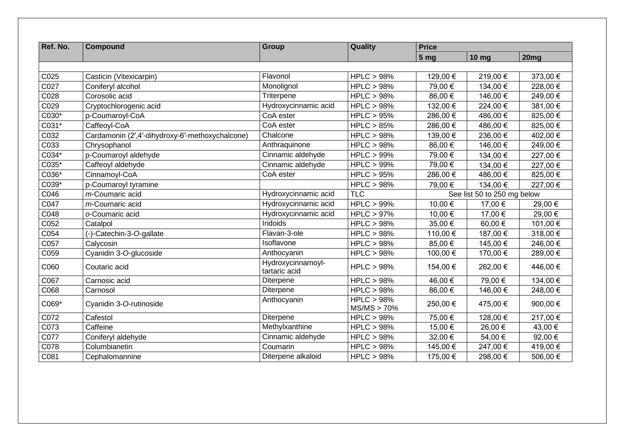| Ref. No.         | <b>Compound</b>                                 | Group                              | Quality                   | <b>Price</b>                |              |          |
|------------------|-------------------------------------------------|------------------------------------|---------------------------|-----------------------------|--------------|----------|
|                  |                                                 |                                    |                           | 5 <sub>mg</sub>             | <b>10 mg</b> | 20mg     |
|                  |                                                 |                                    |                           |                             |              |          |
| C025             | Casticin (Vitexicarpin)                         | Flavonol                           | HPLC > 98%                | 129,00 €                    | 219,00€      | 373,00 € |
| C027             | Coniferyl alcohol                               | Monolignol                         | HPLC > 98%                | 79,00 €                     | 134,00 €     | 228,00 € |
| C028             | Corosolic acid                                  | Triterpene                         | HPLC > 98%                | 86,00 €                     | 146,00 €     | 249,00 € |
| C029             | Cryptochlorogenic acid                          | Hydroxycinnamic acid               | HPLC > 98%                | 132,00 €                    | 224,00 €     | 381,00 € |
| C030*            | p-Coumaroyl-CoA                                 | CoA ester                          | HPLC > 95%                | 286,00 €                    | 486,00€      | 825,00€  |
| C031*            | Caffeoyl-CoA                                    | CoA ester                          | HPLC > 85%                | 286,00 €                    | 486,00€      | 825,00€  |
| C032             | Cardamonin (2',4'-dihydroxy-6'-methoxychalcone) | Chalcone                           | HPLC > 98%                | 139,00 €                    | 236,00€      | 402,00 € |
| C033             | Chrysophanol                                    | Anthraquinone                      | HPLC > 98%                | 86,00 €                     | 146,00 €     | 249,00 € |
| C034*            | p-Coumaroyl aldehyde                            | Cinnamic aldehyde                  | HPLC > 99%                | 79,00 €                     | 134,00 €     | 227,00 € |
| C035*            | Caffeoyl aldehyde                               | Cinnamic aldehyde                  | $HPLC > 99\%$             | 79,00 €                     | 134,00 €     | 227,00 € |
| C036*            | Cinnamoyl-CoA                                   | CoA ester                          | HPLC > 95%                | 286,00 €                    | 486,00€      | 825,00 € |
| C039*            | p-Coumaroyl tyramine                            |                                    | HPLC > 98%                | 79,00 €                     | 134,00 €     | 227,00 € |
| C046             | m-Coumaric acid                                 | Hydroxycinnamic acid               | <b>TLC</b>                | See list 50 to 250 mg below |              |          |
| C047             | m-Coumaric acid                                 | Hydroxycinnamic acid               | HPLC > 99%                | 10,00 €                     | 17,00 €      | 29,00 €  |
| C048             | o-Coumaric acid                                 | Hydroxycinnamic acid               | HPLC > 97%                | 10,00 €                     | 17,00 €      | 29,00 €  |
| C052             | Catalpol                                        | Iridoids                           | HPLC > 98%                | 35,00 €                     | 60,00€       | 101,00 € |
| C054             | (-)-Catechin-3-O-gallate                        | Flavan-3-ole                       | HPLC > 98%                | 110,00 €                    | 187,00 €     | 318,00 € |
| C057             | Calycosin                                       | Isoflavone                         | HPLC > 98%                | 85,00 €                     | 145,00 €     | 246,00 € |
| C059             | Cyanidin 3-O-glucoside                          | Anthocyanin                        | HPLC > 98%                | 100,00 €                    | 170,00 €     | 289,00€  |
| C060             | Coutaric acid                                   | Hydroxycinnamoyl-<br>tartaric acid | HPLC > 98%                | 154,00 €                    | 262,00€      | 446,00 € |
| C067             | Carnosic acid                                   | Diterpene                          | HPLC > 98%                | 46,00 €                     | 79,00 €      | 134,00 € |
| C068             | Carnosol                                        | Diterpene                          | HPLC > 98%                | 86,00 €                     | 146,00 €     | 248,00 € |
| C069*            | Cyanidin 3-O-rutinoside                         | Anthocyanin                        | HPLC > 98%<br>MS/MS > 70% | 250,00 €                    | 475,00 €     | 900,00€  |
| C072             | Cafestol                                        | Diterpene                          | HPLC > 98%                | 75,00 €                     | 128,00 €     | 217,00 € |
| CO <sub>73</sub> | Caffeine                                        | Methylxanthine                     | HPLC > 98%                | 15,00 €                     | 26,00 €      | 43,00 €  |
| C077             | Coniferyl aldehyde                              | Cinnamic aldehyde                  | HPLC > 98%                | 32,00 €                     | 54,00€       | 92,00 €  |
| C078             | Columbianetin                                   | Coumarin                           | HPLC > 98%                | 145,00 €                    | 247,00 €     | 419,00 € |
| C081             | Cephalomannine                                  | Diterpene alkaloid                 | HPLC > 98%                | 175,00 €                    | 298,00€      | 506,00€  |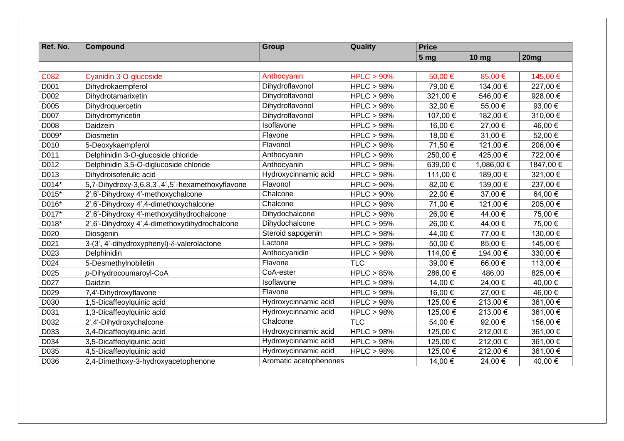| Ref. No. | Compound                                        | <b>Group</b>           | Quality       | <b>Price</b>    |              |           |
|----------|-------------------------------------------------|------------------------|---------------|-----------------|--------------|-----------|
|          |                                                 |                        |               | 5 <sub>mg</sub> | <b>10 mg</b> | 20mg      |
|          |                                                 |                        |               |                 |              |           |
| C082     | Cyanidin 3-O-glucoside                          | Anthocyanin            | HPLC > 90%    | 50,00€          | 85,00 €      | 145,00 €  |
| D001     | Dihydrokaempferol                               | Dihydroflavonol        | HPLC > 98%    | 79,00 €         | 134,00 €     | 227,00 €  |
| D002     | Dihydrotamarixetin                              | Dihydroflavonol        | HPLC > 98%    | 321,00 €        | 546,00 €     | 928,00 €  |
| D005     | Dihydroquercetin                                | Dihydroflavonol        | HPLC > 98%    | 32,00 €         | 55,00€       | 93,00 €   |
| D007     | Dihydromyricetin                                | Dihydroflavonol        | HPLC > 98%    | 107,00 €        | 182,00 €     | 310,00 €  |
| D008     | Daidzein                                        | Isoflavone             | HPLC > 98%    | 16,00 €         | 27,00 €      | 46,00 €   |
| D009*    | Diosmetin                                       | Flavone                | HPLC > 98%    | 18,00 €         | 31,00 €      | 52,00 €   |
| D010     | 5-Deoxykaempferol                               | Flavonol               | HPLC > 98%    | 71,50 €         | 121,00 €     | 206,00 €  |
| D011     | Delphinidin 3-O-glucoside chloride              | Anthocyanin            | HPLC > 98%    | 250,00 €        | 425,00€      | 722,00 €  |
| D012     | Delphinidin 3,5-O-diglucoside chloride          | Anthocyanin            | HPLC > 98%    | 639,00 €        | 1,086,00 €   | 1847,00 € |
| D013     | Dihydroisoferulic acid                          | Hydroxycinnamic acid   | HPLC > 98%    | 111,00 €        | 189,00 €     | 321,00 €  |
| D014*    | 5,7-Dihydroxy-3,6,8,3',4',5'-hexamethoxyflavone | Flavonol               | HPLC > 96%    | 82,00 €         | 139,00 €     | 237,00 €  |
| D015*    | 2',6'-Dihydroxy 4'-methoxychalcone              | Chalcone               | $HPLC > 90\%$ | 22,00 €         | 37,00 €      | 64,00 €   |
| D016*    | 2',6'-Dihydroxy 4',4-dimethoxychalcone          | Chalcone               | HPLC > 98%    | 71,00 €         | 121,00 €     | 205,00 €  |
| D017*    | 2',6'-Dihydroxy 4'-methoxydihydrochalcone       | Dihydochalcone         | HPLC > 98%    | 26,00 €         | 44,00 €      | 75,00 €   |
| D018*    | 2',6'-Dihydroxy 4',4-dimethoxydihydrochalcone   | Dihydochalcone         | HPLC > 95%    | 26,00 €         | 44,00 €      | 75,00 €   |
| D020     | Diosgenin                                       | Steroid sapogenin      | HPLC > 98%    | 44,00 €         | 77,00 €      | 130,00 €  |
| D021     | 3-(3', 4'-dihydroxyphenyl)-δ-valerolactone      | Lactone                | HPLC > 98%    | 50,00 €         | 85,00€       | 145,00 €  |
| D023     | Delphinidin                                     | Anthocyanidin          | HPLC > 98%    | 114,00 €        | 194,00 €     | 330,00 €  |
| D024     | 5-Desmethylnobiletin                            | Flavone                | <b>TLC</b>    | 39,00 €         | 66,00€       | 113,00 €  |
| D025     | p-Dihydrocoumaroyl-CoA                          | CoA-ester              | HPLC > 85%    | 286,00€         | 486,00       | 825,00€   |
| D027     | Daidzin                                         | Isoflavone             | HPLC > 98%    | 14,00 €         | 24,00 €      | 40,00 €   |
| D029     | 7,4'-Dihydroxyflavone                           | Flavone                | HPLC > 98%    | 16,00 €         | 27,00 €      | 46,00 €   |
| D030     | 1,5-Dicaffeoylquinic acid                       | Hydroxycinnamic acid   | HPLC > 98%    | 125,00 €        | 213,00€      | 361,00 €  |
| D031     | 1,3-Dicaffeoylquinic acid                       | Hydroxycinnamic acid   | HPLC > 98%    | 125,00 €        | 213,00€      | 361,00 €  |
| D032     | 2',4'-Dihydroxychalcone                         | Chalcone               | <b>TLC</b>    | 54,00 €         | 92,00€       | 156,00 €  |
| D033     | 3,4-Dicaffeoylquinic acid                       | Hydroxycinnamic acid   | HPLC > 98%    | 125,00 €        | 212,00 €     | 361,00 €  |
| D034     | 3,5-Dicaffeoylquinic acid                       | Hydroxycinnamic acid   | HPLC > 98%    | 125,00 €        | 212,00€      | 361,00 €  |
| D035     | 4,5-Dicaffeoylquinic acid                       | Hydroxycinnamic acid   | HPLC > 98%    | 125,00 €        | 212,00 €     | 361,00 €  |
| D036     | 2,4-Dimethoxy-3-hydroxyacetophenone             | Aromatic acetophenones |               | 14,00 €         | 24,00 €      | 40,00 €   |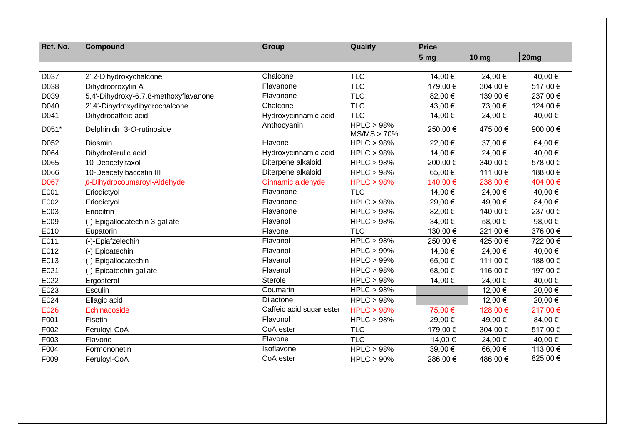| Ref. No.    | <b>Compound</b>                       | <b>Group</b>             | Quality                   | <b>Price</b>    |              |                  |  |
|-------------|---------------------------------------|--------------------------|---------------------------|-----------------|--------------|------------------|--|
|             |                                       |                          |                           | 5 <sub>mg</sub> | <b>10 mg</b> | 20 <sub>mg</sub> |  |
|             |                                       |                          |                           |                 |              |                  |  |
| D037        | 2',2-Dihydroxychalcone                | Chalcone                 | <b>TLC</b>                | 14,00 €         | 24,00 €      | 40,00 €          |  |
| D038        | Dihydrooroxylin A                     | Flavanone                | <b>TLC</b>                | 179,00 €        | 304,00€      | 517,00 €         |  |
| D039        | 5,4'-Dihydroxy-6,7,8-methoxyflavanone | Flavanone                | <b>TLC</b>                | 82,00 €         | 139,00 €     | 237,00 €         |  |
| D040        | 2',4'-Dihydroxydihydrochalcone        | Chalcone                 | <b>TLC</b>                | 43,00 €         | 73,00 €      | 124,00 €         |  |
| D041        | Dihydrocaffeic acid                   | Hydroxycinnamic acid     | TLC                       | 14,00 €         | 24,00 €      | 40,00 €          |  |
| D051*       | Delphinidin 3-O-rutinoside            | Anthocyanin              | HPLC > 98%<br>MS/MS > 70% | 250,00 €        | 475,00 €     | 900,00 €         |  |
| D052        | Diosmin                               | Flavone                  | HPLC > 98%                | 22,00€          | 37,00 €      | 64,00€           |  |
| D064        | Dihydroferulic acid                   | Hydroxycinnamic acid     | HPLC > 98%                | 14,00 €         | 24,00 €      | 40,00 €          |  |
| D065        | 10-Deacetyltaxol                      | Diterpene alkaloid       | HPLC > 98%                | 200,00€         | 340,00 €     | 578,00€          |  |
| D066        | 10-Deacetylbaccatin III               | Diterpene alkaloid       | HPLC > 98%                | 65,00€          | 111,00 €     | 188,00€          |  |
| <b>D067</b> | p-Dihydrocoumaroyl-Aldehyde           | Cinnamic aldehyde        | HPLC > 98%                | 140,00 €        | 238,00€      | 404,00 €         |  |
| E001        | Eriodictyol                           | Flavanone                | <b>TLC</b>                | 14,00 €         | 24,00 €      | 40,00 €          |  |
| E002        | Eriodictyol                           | Flavanone                | HPLC > 98%                | 29,00€          | 49,00€       | 84,00€           |  |
| E003        | Eriocitrin                            | Flavanone                | HPLC > 98%                | 82,00 €         | 140,00 €     | 237,00€          |  |
| E009        | (-) Epigallocatechin 3-gallate        | Flavanol                 | HPLC > 98%                | 34,00 €         | 58,00€       | 98,00€           |  |
| E010        | Eupatorin                             | Flavone                  | <b>TLC</b>                | 130,00 €        | 221,00 €     | 376,00 €         |  |
| E011        | (-)-Epiafzelechin                     | Flavanol                 | HPLC > 98%                | 250,00€         | 425,00€      | 722,00 €         |  |
| E012        | (-) Epicatechin                       | Flavanol                 | HPLC > 90%                | 14,00 €         | 24,00€       | 40,00 €          |  |
| E013        | (-) Epigallocatechin                  | Flavanol                 | $HPLC > 99\%$             | 65,00€          | 111,00 €     | 188,00 €         |  |
| E021        | (-) Epicatechin gallate               | Flavanol                 | HPLC > 98%                | 68,00€          | 116,00 €     | 197,00 €         |  |
| E022        | Ergosterol                            | Sterole                  | HPLC > 98%                | 14,00 €         | 24,00€       | 40,00 €          |  |
| E023        | Esculin                               | Coumarin                 | HPLC > 98%                |                 | 12,00 €      | 20,00 €          |  |
| E024        | Ellagic acid                          | Dilactone                | HPLC > 98%                |                 | 12,00 €      | 20,00€           |  |
| E026        | Echinacoside                          | Caffeic acid sugar ester | HPLC > 98%                | 75,00 €         | 128,00 €     | 217,00 €         |  |
| F001        | Fisetin                               | Flavonol                 | HPLC > 98%                | 29,00€          | 49,00 €      | 84,00 €          |  |
| F002        | Feruloyl-CoA                          | CoA ester                | <b>TLC</b>                | 179,00 €        | 304,00 €     | 517,00€          |  |
| F003        | Flavone                               | Flavone                  | <b>TLC</b>                | 14,00 €         | 24,00 €      | 40,00 €          |  |
| F004        | Formononetin                          | Isoflavone               | HPLC > 98%                | 39,00 €         | 66,00€       | 113,00 €         |  |
| F009        | Feruloyl-CoA                          | CoA ester                | $HPLC > 90\%$             | 286,00€         | 486,00€      | 825,00€          |  |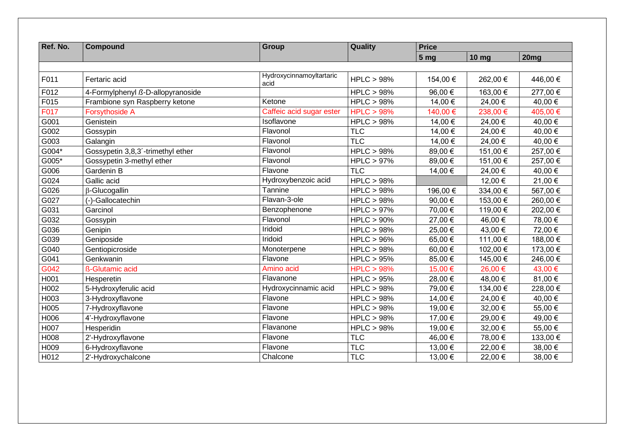| Ref. No. | <b>Compound</b>                   | <b>Group</b>                     | Quality    | <b>Price</b>    |              |                      |  |
|----------|-----------------------------------|----------------------------------|------------|-----------------|--------------|----------------------|--|
|          |                                   |                                  |            | 5 <sub>mg</sub> | <b>10 mg</b> | 20mg                 |  |
|          |                                   |                                  |            |                 |              |                      |  |
| F011     | Fertaric acid                     | Hydroxycinnamoyltartaric<br>acid | HPLC > 98% | 154,00 €        | 262,00 €     | 446,00 €             |  |
| F012     | 4-Formylphenyl ß-D-allopyranoside |                                  | HPLC > 98% | 96,00 €         | 163,00 €     | 277,00 €             |  |
| F015     | Frambione syn Raspberry ketone    | Ketone                           | HPLC > 98% | 14,00 €         | 24,00 €      | 40,00 $\overline{€}$ |  |
| F017     | <b>Forsythoside A</b>             | Caffeic acid sugar ester         | HPLC > 98% | 140,00 €        | 238,00€      | 405,00 €             |  |
| G001     | Genistein                         | Isoflavone                       | HPLC > 98% | 14,00 €         | 24,00 €      | 40,00 €              |  |
| G002     | Gossypin                          | Flavonol                         | <b>TLC</b> | 14,00 €         | 24,00 €      | 40,00 €              |  |
| G003     | Galangin                          | Flavonol                         | <b>TLC</b> | 14,00 €         | 24,00€       | 40,00 €              |  |
| G004*    | Gossypetin 3,8,3'-trimethyl ether | Flavonol                         | HPLC > 98% | 89,00 €         | 151,00 €     | 257,00 €             |  |
| G005*    | Gossypetin 3-methyl ether         | Flavonol                         | HPLC > 97% | 89,00 €         | 151,00 €     | 257,00 €             |  |
| G006     | Gardenin B                        | Flavone                          | <b>TLC</b> | 14,00 €         | 24,00 €      | 40,00 €              |  |
| G024     | Gallic acid                       | Hydroxybenzoic acid              | HPLC > 98% |                 | 12,00 €      | 21,00 €              |  |
| G026     | β-Glucogallin                     | Tannine                          | HPLC > 98% | 196,00 €        | 334,00 €     | 567,00 €             |  |
| G027     | (-)-Gallocatechin                 | Flavan-3-ole                     | HPLC > 98% | 90,00 €         | 153,00 €     | 260,00 €             |  |
| G031     | Garcinol                          | Benzophenone                     | HPLC > 97% | 70,00 €         | 119,00 €     | 202,00 €             |  |
| G032     | Gossypin                          | Flavonol                         | HPLC > 90% | 27,00 €         | 46,00 €      | 78,00 €              |  |
| G036     | Genipin                           | Iridoid                          | HPLC > 98% | 25,00 €         | 43,00 €      | 72,00 €              |  |
| G039     | Geniposide                        | Iridoid                          | HPLC > 96% | 65,00€          | 111,00 €     | 188,00 €             |  |
| G040     | Gentiopicroside                   | Monoterpene                      | HPLC > 98% | 60,00€          | 102,00 €     | 173,00 €             |  |
| G041     | Genkwanin                         | Flavone                          | HPLC > 95% | 85,00 €         | 145,00€      | 246,00 €             |  |
| G042     | ß-Glutamic acid                   | Amino acid                       | HPLC > 98% | 15,00 €         | 26,00 €      | 43,00 €              |  |
| H001     | Hesperetin                        | Flavanone                        | HPLC > 95% | 28,00 €         | 48,00 €      | 81,00 €              |  |
| H002     | 5-Hydroxyferulic acid             | Hydroxycinnamic acid             | HPLC > 98% | 79,00 €         | 134,00 €     | 228,00€              |  |
| H003     | 3-Hydroxyflavone                  | Flavone                          | HPLC > 98% | 14,00 €         | 24,00 €      | 40,00 €              |  |
| H005     | 7-Hydroxyflavone                  | Flavone                          | HPLC > 98% | 19,00 €         | 32,00 €      | 55,00€               |  |
| H006     | 4'-Hydroxyflavone                 | Flavone                          | HPLC > 98% | 17,00 €         | 29,00€       | 49,00 €              |  |
| H007     | Hesperidin                        | Flavanone                        | HPLC > 98% | 19,00 €         | 32,00 €      | 55,00 €              |  |
| H008     | 2'-Hydroxyflavone                 | Flavone                          | <b>TLC</b> | 46,00 €         | 78,00 €      | 133,00 €             |  |
| H009     | 6-Hydroxyflavone                  | Flavone                          | <b>TLC</b> | 13,00 €         | 22,00 €      | 38,00 €              |  |
| H012     | 2'-Hydroxychalcone                | Chalcone                         | <b>TLC</b> | 13,00 €         | 22,00 €      | 38,00 €              |  |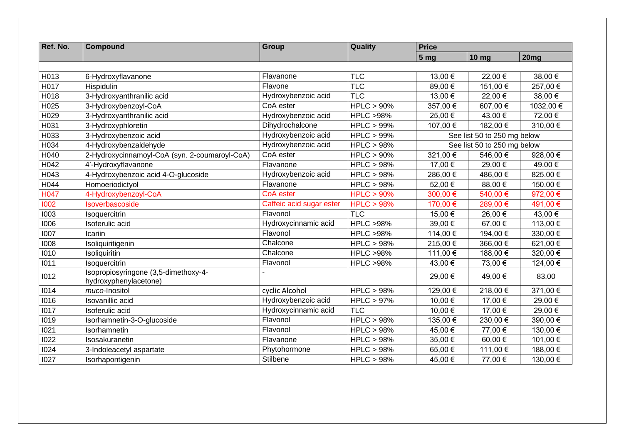| Ref. No. | <b>Compound</b>                                               | <b>Group</b>             | Quality             | <b>Price</b>          |                             |           |
|----------|---------------------------------------------------------------|--------------------------|---------------------|-----------------------|-----------------------------|-----------|
|          |                                                               |                          |                     | 5 <sub>mg</sub>       | <b>10 mg</b>                | 20mg      |
|          |                                                               |                          |                     |                       |                             |           |
| H013     | 6-Hydroxyflavanone                                            | Flavanone                | <b>TLC</b>          | 13,00 €               | 22,00€                      | 38,00 €   |
| H017     | Hispidulin                                                    | Flavone                  | <b>TLC</b>          | 89,00€                | 151,00 €                    | 257,00 €  |
| H018     | 3-Hydroxyanthranilic acid                                     | Hydroxybenzoic acid      | <b>TLC</b>          | 13,00 €               | 22,00 €                     | 38,00 €   |
| H025     | 3-Hydroxybenzoyl-CoA                                          | CoA ester                | HPLC > 90%          | 357,00€               | 607,00€                     | 1032,00 € |
| H029     | 3-Hydroxyanthranilic acid                                     | Hydroxybenzoic acid      | <b>HPLC &gt;98%</b> | 25,00 €               | 43,00 €                     | 72,00 €   |
| H031     | 3-Hydroxyphloretin                                            | Dihydrochalcone          | $HPLC > 99\%$       | 107,00 €              | 182,00 €                    | 310,00€   |
| H033     | 3-Hydroxybenzoic acid                                         | Hydroxybenzoic acid      | HPLC > 99%          |                       | See list 50 to 250 mg below |           |
| H034     | 4-Hydroxybenzaldehyde                                         | Hydroxybenzoic acid      | HPLC > 98%          |                       | See list 50 to 250 mg below |           |
| H040     | 2-Hydroxycinnamoyl-CoA (syn. 2-coumaroyl-CoA)                 | CoA ester                | $HPLC > 90\%$       | 321,00 €              | 546,00€                     | 928,00 €  |
| H042     | 4'-Hydroxyflavanone                                           | Flavanone                | HPLC > 98%          | 17,00 €               | 29,00 €                     | 49.00€    |
| H043     | 4-Hydroxybenzoic acid 4-O-glucoside                           | Hydroxybenzoic acid      | HPLC > 98%          | 286,00€               | 486,00 €                    | 825.00 €  |
| H044     | Homoeriodictyol                                               | Flavanone                | HPLC > 98%          | 52,00€                | 88,00 €                     | 150.00€   |
| H047     | 4-Hydroxybenzoyl-CoA                                          | CoA ester                | HPLC > 90%          | 300,00€               | 540,00 €                    | 972,00 €  |
| 1002     | Isoverbascoside                                               | Caffeic acid sugar ester | HPLC > 98%          | 170,00 €              | 289,00 €                    | 491,00 €  |
| 1003     | Isoquercitrin                                                 | Flavonol                 | <b>TLC</b>          | 15,00 €               | 26,00€                      | 43,00 €   |
| 1006     | Isoferulic acid                                               | Hydroxycinnamic acid     | <b>HPLC &gt;98%</b> | 39,00 €               | 67,00€                      | 113,00 €  |
| 1007     | Icariin                                                       | Flavonol                 | <b>HPLC &gt;98%</b> | 114,00 €              | 194,00 €                    | 330,00 €  |
| 1008     | Isoliquiritigenin                                             | Chalcone                 | HPLC > 98%          | 215,00 $\overline{€}$ | 366,00€                     | 621,00€   |
| 1010     | Isoliquiritin                                                 | Chalcone                 | <b>HPLC &gt;98%</b> | 111,00 €              | 188,00 €                    | 320,00 €  |
| 1011     | Isoquercitrin                                                 | Flavonol                 | <b>HPLC &gt;98%</b> | 43,00 €               | 73,00 €                     | 124,00 €  |
| 1012     | Isopropiosyringone (3,5-dimethoxy-4-<br>hydroxyphenylacetone) |                          |                     | 29,00 €               | 49,00 €                     | 83,00     |
| 1014     | muco-Inositol                                                 | cyclic Alcohol           | HPLC > 98%          | 129,00 €              | 218,00€                     | 371,00 €  |
| 1016     | Isovanillic acid                                              | Hydroxybenzoic acid      | $HPLC > 97\%$       | 10,00 €               | 17,00 €                     | 29,00 €   |
| 1017     | Isoferulic acid                                               | Hydroxycinnamic acid     | <b>TLC</b>          | 10,00 €               | 17,00 €                     | 29,00 €   |
| 1019     | Isorhamnetin-3-O-glucoside                                    | Flavonol                 | HPLC > 98%          | 135,00 €              | 230,00€                     | 390,00€   |
| 1021     | Isorhamnetin                                                  | Flavonol                 | HPLC > 98%          | 45,00 €               | 77,00 €                     | 130,00 €  |
| 1022     | Isosakuranetin                                                | Flavanone                | HPLC > 98%          | 35,00 €               | 60,00€                      | 101,00 €  |
| 1024     | 3-Indoleacetyl aspartate                                      | Phytohormone             | HPLC > 98%          | 65,00€                | 111,00 €                    | 188,00 €  |
| 1027     | Isorhapontigenin                                              | Stilbene                 | HPLC > 98%          | 45,00 €               | 77,00 €                     | 130,00 €  |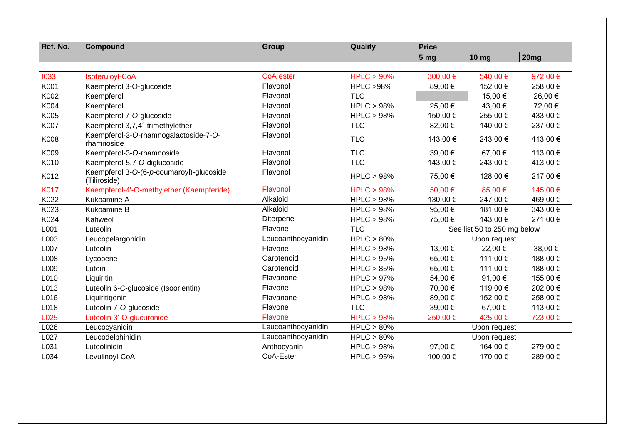| Ref. No.          | <b>Compound</b>                                          | <b>Group</b>       | Quality             | <b>Price</b>    |                             |          |  |
|-------------------|----------------------------------------------------------|--------------------|---------------------|-----------------|-----------------------------|----------|--|
|                   |                                                          |                    |                     | 5 <sub>mg</sub> | <b>10 mg</b>                | 20mg     |  |
|                   |                                                          |                    |                     |                 |                             |          |  |
| 1033              | <b>Isoferuloyl-CoA</b>                                   | CoA ester          | HPLC > 90%          | 300,00€         | 540,00 €                    | 972,00 € |  |
| K001              | Kaempferol 3-O-glucoside                                 | Flavonol           | <b>HPLC &gt;98%</b> | 89,00€          | 152,00 €                    | 258,00€  |  |
| K002              | Kaempferol                                               | Flavonol           | <b>TLC</b>          |                 | 15,00 €                     | 26,00 €  |  |
| K004              | Kaempferol                                               | Flavonol           | HPLC > 98%          | 25,00 €         | 43,00 €                     | 72,00 €  |  |
| K005              | Kaempferol 7-O-glucoside                                 | Flavonol           | HPLC > 98%          | 150,00 €        | 255,00€                     | 433,00 € |  |
| K007              | Kaempferol 3,7,4'-trimethylether                         | Flavonol           | <b>TLC</b>          | 82,00 €         | 140,00 €                    | 237,00 € |  |
| K008              | Kaempferol-3-O-rhamnogalactoside-7-O-<br>rhamnoside      | Flavonol           | <b>TLC</b>          | 143,00 €        | 243,00 €                    | 413,00 € |  |
| K009              | Kaempferol-3-O-rhamnoside                                | Flavonol           | <b>TLC</b>          | 39,00 €         | 67,00 €                     | 113,00 € |  |
| K010              | Kaempferol-5,7-O-diglucoside                             | Flavonol           | <b>TLC</b>          | 143,00 €        | 243,00 €                    | 413,00 € |  |
| K012              | Kaempferol 3-O-(6-p-coumaroyl)-glucoside<br>(Tiliroside) | Flavonol           | HPLC > 98%          | 75,00 €         | 128,00 €                    | 217,00 € |  |
| <b>K017</b>       | Kaempferol-4'-O-methylether (Kaempferide)                | Flavonol           | HPLC > 98%          | 50,00€          | 85,00€                      | 145,00 € |  |
| K022              | Kukoamine A                                              | Alkaloid           | HPLC > 98%          | 130,00 €        | 247,00 €                    | 469,00 € |  |
| K023              | Kukoamine B                                              | Alkaloid           | HPLC > 98%          | 95,00€          | 181,00€                     | 343,00 € |  |
| K024              | Kahweol                                                  | Diterpene          | HPLC > 98%          | 75,00 €         | 143,00 €                    | 271,00 € |  |
| L001              | Luteolin                                                 | Flavone            | <b>TLC</b>          |                 | See list 50 to 250 mg below |          |  |
| L003              | Leucopelargonidin                                        | Leucoanthocyanidin | HPLC > 80%          |                 | Upon request                |          |  |
| $L00\overline{7}$ | Luteolin                                                 | Flavone            | HPLC > 98%          | 13,00 €         | 22,00 €                     | 38,00 €  |  |
| L008              | Lycopene                                                 | Carotenoid         | HPLC > 95%          | 65,00€          | 111,00 €                    | 188,00 € |  |
| L009              | Lutein                                                   | Carotenoid         | HPLC > 85%          | 65,00€          | 111,00 €                    | 188,00 € |  |
| L010              | Liquiritin                                               | Flavanone          | HPLC > 97%          | 54,00 €         | 91,00 €                     | 155,00 € |  |
| L013              | Luteolin 6-C-glucoside (Isoorientin)                     | Flavone            | HPLC > 98%          | 70,00 €         | 119,00 €                    | 202,00 € |  |
| L016              | Liquiritigenin                                           | Flavanone          | HPLC > 98%          | 89,00 €         | 152,00 €                    | 258,00€  |  |
| L018              | Luteolin 7-O-glucoside                                   | Flavone            | <b>TLC</b>          | 39,00 €         | 67,00€                      | 113,00 € |  |
| L025              | Luteolin 3'-O-glucuronide                                | Flavone            | HPLC > 98%          | 250,00€         | 425,00 €                    | 723,00 € |  |
| L026              | Leucocyanidin                                            | Leucoanthocyanidin | HPLC > 80%          |                 | Upon request                |          |  |
| L027              | Leucodelphinidin                                         | Leucoanthocyanidin | HPLC > 80%          |                 | Upon request                |          |  |
| L031              | Luteolinidin                                             | Anthocyanin        | HPLC > 98%          | 97,00€          | 164,00 €                    | 279,00€  |  |
| L034              | Levulinoyl-CoA                                           | CoA-Ester          | HPLC > 95%          | 100,00 €        | 170,00 €                    | 289,00€  |  |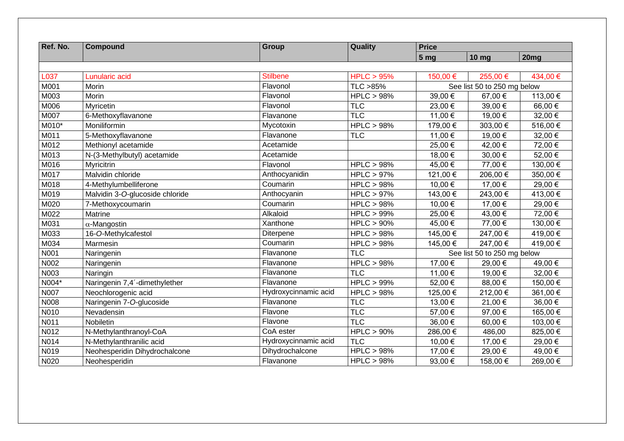| Ref. No. | <b>Compound</b>                 | <b>Group</b>         | Quality              | <b>Price</b>    |                             |          |  |
|----------|---------------------------------|----------------------|----------------------|-----------------|-----------------------------|----------|--|
|          |                                 |                      |                      | 5 <sub>mg</sub> | <b>10 mg</b>                | 20mg     |  |
|          |                                 |                      |                      |                 |                             |          |  |
| L037     | Lunularic acid                  | <b>Stilbene</b>      | HPLC > 95%           | 150,00 €        | 255,00 €                    | 434,00 € |  |
| M001     | Morin                           | Flavonol             | TLC >85%             |                 | See list 50 to 250 mg below |          |  |
| M003     | Morin                           | Flavonol             | HPLC > 98%           | 39,00 €         | 67,00 €                     | 113,00 € |  |
| M006     | Myricetin                       | Flavonol             | <b>TLC</b>           | 23,00 €         | 39,00 €                     | 66,00€   |  |
| M007     | 6-Methoxyflavanone              | Flavanone            | <b>TLC</b>           | 11,00 €         | 19,00 €                     | 32,00 €  |  |
| M010*    | Moniliformin                    | Mycotoxin            | <b>HPLC &gt; 98%</b> | 179,00 €        | 303,00 €                    | 516,00€  |  |
| M011     | 5-Methoxyflavanone              | Flavanone            | <b>TLC</b>           | 11,00 €         | 19,00 €                     | 32,00 €  |  |
| M012     | Methionyl acetamide             | Acetamide            |                      | 25,00€          | 42,00 €                     | 72,00 €  |  |
| M013     | N-(3-Methylbutyl) acetamide     | Acetamide            |                      | 18,00 €         | 30,00 €                     | 52,00€   |  |
| M016     | Myricitrin                      | Flavonol             | HPLC > 98%           | 45,00 €         | 77,00 €                     | 130,00€  |  |
| M017     | Malvidin chloride               | Anthocyanidin        | $HPLC > 97\%$        | 121,00 €        | 206,00€                     | 350,00€  |  |
| M018     | 4-Methylumbelliferone           | Coumarin             | HPLC > 98%           | 10,00 €         | 17,00 €                     | 29,00 €  |  |
| M019     | Malvidin 3-O-glucoside chloride | Anthocyanin          | <b>HPLC &gt; 97%</b> | 143,00 €        | 243,00 €                    | 413,00 € |  |
| M020     | 7-Methoxycoumarin               | Coumarin             | HPLC > 98%           | 10,00 €         | 17,00 €                     | 29,00 €  |  |
| M022     | Matrine                         | Alkaloid             | HPLC > 99%           | 25,00€          | 43,00 €                     | 72,00 €  |  |
| M031     | $\alpha$ -Mangostin             | Xanthone             | HPLC > 90%           | 45,00 €         | 77,00 €                     | 130,00 € |  |
| M033     | 16-O-Methylcafestol             | Diterpene            | HPLC > 98%           | 145,00 €        | 247,00 €                    | 419,00 € |  |
| M034     | Marmesin                        | Coumarin             | HPLC > 98%           | 145,00 €        | 247,00 €                    | 419,00 € |  |
| N001     | Naringenin                      | Flavanone            | TLC                  |                 | See list 50 to 250 mg below |          |  |
| N002     | Naringenin                      | Flavanone            | HPLC > 98%           | 17,00 €         | 29,00 €                     | 49,00 €  |  |
| N003     | Naringin                        | Flavanone            | <b>TLC</b>           | 11,00 €         | 19,00 €                     | 32,00 €  |  |
| N004*    | Naringenin 7,4'-dimethylether   | Flavanone            | HPLC > 99%           | 52,00 €         | 88,00 €                     | 150,00 € |  |
| N007     | Neochlorogenic acid             | Hydroxycinnamic acid | HPLC > 98%           | 125,00 €        | 212,00€                     | 361,00 € |  |
| N008     | Naringenin 7-O-glucoside        | Flavanone            | <b>TLC</b>           | 13,00 €         | 21,00 €                     | 36,00 €  |  |
| N010     | Nevadensin                      | Flavone              | <b>TLC</b>           | 57,00 €         | 97,00€                      | 165,00€  |  |
| N011     | <b>Nobiletin</b>                | Flavone              | TLC                  | 36,00€          | 60,00€                      | 103,00 € |  |
| N012     | N-Methylanthranoyl-CoA          | CoA ester            | $HPLC > 90\%$        | 286,00€         | 486,00                      | 825,00€  |  |
| N014     | N-Methylanthranilic acid        | Hydroxycinnamic acid | <b>TLC</b>           | 10,00 €         | 17,00 €                     | 29,00€   |  |
| N019     | Neohesperidin Dihydrochalcone   | Dihydrochalcone      | HPLC > 98%           | 17,00 €         | 29,00 €                     | 49,00 €  |  |
| N020     | Neohesperidin                   | Flavanone            | HPLC > 98%           | 93,00€          | 158,00 €                    | 269,00€  |  |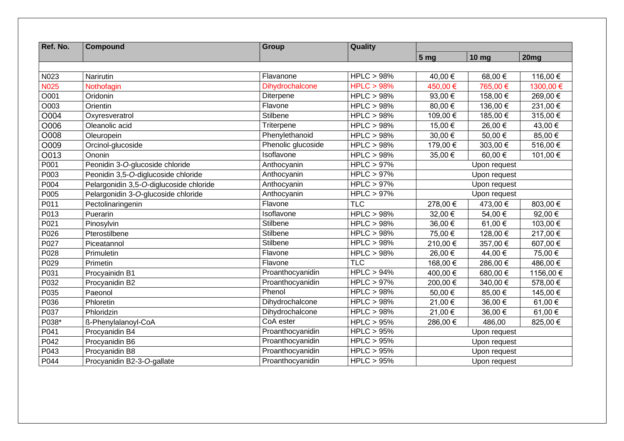| Ref. No.    | <b>Compound</b>                         | <b>Group</b>       | Quality              |                 |                  |                  |  |
|-------------|-----------------------------------------|--------------------|----------------------|-----------------|------------------|------------------|--|
|             |                                         |                    |                      | 5 <sub>mg</sub> | 10 <sub>mg</sub> | 20 <sub>mg</sub> |  |
|             |                                         |                    |                      |                 |                  |                  |  |
| N023        | Narirutin                               | Flavanone          | HPLC > 98%           | 40,00 €         | 68,00€           | 116,00 €         |  |
| <b>N025</b> | Nothofagin                              | Dihydrochalcone    | HPLC > 98%           | 450,00 €        | 765,00 €         | 1300,00 €        |  |
| O001        | Oridonin                                | Diterpene          | HPLC > 98%           | 93,00€          | 158,00 €         | 269,00 €         |  |
| O003        | Orientin                                | Flavone            | HPLC > 98%           | 80,00€          | 136,00 €         | 231,00 €         |  |
| O004        | Oxyresveratrol                          | Stilbene           | HPLC > 98%           | 109,00 €        | 185,00 €         | 315,00 €         |  |
| O006        | Oleanolic acid                          | Triterpene         | HPLC > 98%           | 15,00 €         | 26,00 €          | 43,00 €          |  |
| O008        | Oleuropein                              | Phenylethanoid     | HPLC > 98%           | 30,00 €         | 50,00€           | 85,00€           |  |
| O009        | Orcinol-glucoside                       | Phenolic glucoside | <b>HPLC &gt; 98%</b> | 179,00 €        | 303,00 €         | 516,00€          |  |
| O013        | Ononin                                  | Isoflavone         | HPLC > 98%           | 35,00 €         | 60,00€           | 101,00 €         |  |
| P001        | Peonidin 3-O-glucoside chloride         | Anthocyanin        | HPLC > 97%           |                 | Upon request     |                  |  |
| P003        | Peonidin 3,5-O-diglucoside chloride     | Anthocyanin        | HPLC > 97%           |                 | Upon request     |                  |  |
| P004        | Pelargonidin 3,5-O-diglucoside chloride | Anthocyanin        | $HPLC > 97\%$        |                 | Upon request     |                  |  |
| P005        | Pelargonidin 3-O-glucoside chloride     | Anthocyanin        | HPLC > 97%           |                 | Upon request     |                  |  |
| P011        | Pectolinaringenin                       | Flavone            | <b>TLC</b>           | 278,00€         | 473,00 €         | 803,00 €         |  |
| P013        | Puerarin                                | Isoflavone         | HPLC > 98%           | 32,00 €         | 54,00 €          | 92,00€           |  |
| P021        | Pinosylvin                              | Stilbene           | HPLC > 98%           | 36,00 €         | 61,00 €          | 103,00 €         |  |
| P026        | Pterostilbene                           | <b>Stilbene</b>    | HPLC > 98%           | 75,00 €         | 128,00€          | 217,00 €         |  |
| P027        | Piceatannol                             | Stilbene           | HPLC > 98%           | 210,00€         | 357,00 €         | 607,00€          |  |
| P028        | Primuletin                              | Flavone            | HPLC > 98%           | 26,00€          | 44,00 €          | 75,00 €          |  |
| P029        | Primetin                                | Flavone            | <b>TLC</b>           | 168,00 €        | 286,00€          | 486,00 €         |  |
| P031        | Procyainidn B1                          | Proanthocyanidin   | HPLC > 94%           | 400,00 €        | 680,00€          | 1156,00 €        |  |
| P032        | Procyanidin B2                          | Proanthocyanidin   | HPLC > 97%           | 200,00€         | 340,00 €         | 578,00€          |  |
| P035        | Paeonol                                 | Phenol             | HPLC > 98%           | 50,00€          | 85,00 €          | 145,00 €         |  |
| P036        | Phloretin                               | Dihydrochalcone    | <b>HPLC &gt; 98%</b> | 21,00 €         | 36,00 €          | 61,00€           |  |
| P037        | Phloridzin                              | Dihydrochalcone    | HPLC > 98%           | 21,00 €         | 36,00 €          | 61,00 €          |  |
| P038*       | ß-Phenylalanoyl-CoA                     | CoA ester          | HPLC > 95%           | 286,00€         | 486,00           | 825,00 €         |  |
| P041        | Procyanidin B4                          | Proanthocyanidin   | HPLC > 95%           |                 | Upon request     |                  |  |
| P042        | Procyanidin B6                          | Proanthocyanidin   | HPLC > 95%           |                 | Upon request     |                  |  |
| P043        | Procyanidin B8                          | Proanthocyanidin   | HPLC > 95%           |                 | Upon request     |                  |  |
| P044        | Procyanidin B2-3-O-gallate              | Proanthocyanidin   | HPLC > 95%           |                 | Upon request     |                  |  |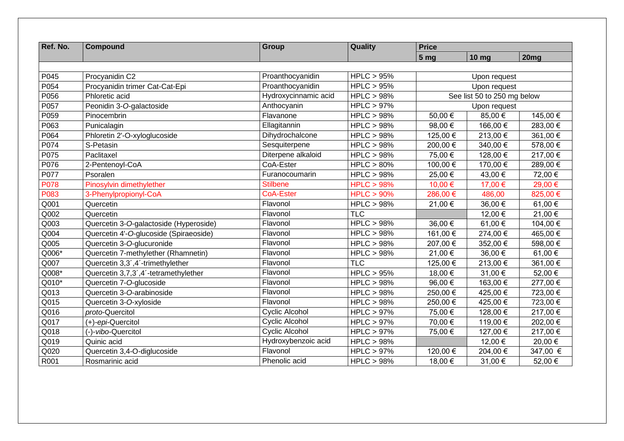| Ref. No.    | <b>Compound</b>                        | <b>Group</b>          | Quality    | <b>Price</b>    |                             |          |  |
|-------------|----------------------------------------|-----------------------|------------|-----------------|-----------------------------|----------|--|
|             |                                        |                       |            | 5 <sub>mg</sub> | <b>10 mg</b>                | 20mg     |  |
|             |                                        |                       |            |                 |                             |          |  |
| P045        | Procyanidin C2                         | Proanthocyanidin      | HPLC > 95% |                 | Upon request                |          |  |
| P054        | Procyanidin trimer Cat-Cat-Epi         | Proanthocyanidin      | HPLC > 95% |                 | Upon request                |          |  |
| P056        | Phloretic acid                         | Hydroxycinnamic acid  | HPLC > 98% |                 | See list 50 to 250 mg below |          |  |
| P057        | Peonidin 3-O-galactoside               | Anthocyanin           | HPLC > 97% |                 | Upon request                |          |  |
| P059        | Pinocembrin                            | Flavanone             | HPLC > 98% | 50,00 €         | 85,00€                      | 145,00 € |  |
| P063        | Punicalagin                            | Ellagitannin          | HPLC > 98% | 98,00 €         | 166,00€                     | 283,00 € |  |
| P064        | Phloretin 2'-O-xyloglucoside           | Dihydrochalcone       | HPLC > 98% | 125,00 €        | 213,00€                     | 361,00 € |  |
| P074        | S-Petasin                              | Sesquiterpene         | HPLC > 98% | 200,00 €        | 340,00 €                    | 578,00 € |  |
| P075        | Paclitaxel                             | Diterpene alkaloid    | HPLC > 98% | 75,00 €         | 128,00 €                    | 217,00 € |  |
| P076        | 2-Pentenoyl-CoA                        | CoA-Ester             | HPLC > 80% | 100,00 €        | 170,00 €                    | 289,00€  |  |
| P077        | Psoralen                               | Furanocoumarin        | HPLC > 98% | 25,00 €         | 43,00 €                     | 72,00 €  |  |
| <b>P078</b> | Pinosylvin dimethylether               | <b>Stilbene</b>       | HPLC > 98% | 10,00 €         | 17,00 €                     | 29,00 €  |  |
| P083        | 3-Phenylpropionyl-CoA                  | <b>CoA-Ester</b>      | HPLC > 90% | 286,00 €        | 486,00                      | 825,00 € |  |
| Q001        | Quercetin                              | Flavonol              | HPLC > 98% | 21,00 €         | 36,00 €                     | 61,00 €  |  |
| Q002        | Quercetin                              | Flavonol              | <b>TLC</b> |                 | 12,00 €                     | 21,00 €  |  |
| Q003        | Quercetin 3-O-galactoside (Hyperoside) | Flavonol              | HPLC > 98% | 36,00 €         | 61,00€                      | 104,00 € |  |
| Q004        | Quercetin 4'-O-glucoside (Spiraeoside) | Flavonol              | HPLC > 98% | 161,00 €        | 274,00 €                    | 465,00 € |  |
| Q005        | Quercetin 3-O-glucuronide              | Flavonol              | HPLC > 98% | 207,00 €        | 352,00 €                    | 598,00 € |  |
| Q006*       | Quercetin 7-methylether (Rhamnetin)    | Flavonol              | HPLC > 98% | 21,00 €         | 36,00 €                     | 61,00€   |  |
| Q007        | Quercetin 3,3',4'-trimethylether       | Flavonol              | <b>TLC</b> | 125,00 €        | 213,00€                     | 361,00 € |  |
| Q008*       | Quercetin 3,7,3',4'-tetramethylether   | Flavonol              | HPLC > 95% | 18,00 €         | 31,00 €                     | 52,00 €  |  |
| Q010*       | Quercetin 7-O-glucoside                | Flavonol              | HPLC > 98% | 96,00€          | 163,00€                     | 277,00 € |  |
| Q013        | Quercetin 3-O-arabinoside              | Flavonol              | HPLC > 98% | 250,00€         | 425,00€                     | 723,00 € |  |
| Q015        | Quercetin 3-O-xyloside                 | Flavonol              | HPLC > 98% | 250,00 €        | 425,00€                     | 723,00 € |  |
| Q016        | proto-Quercitol                        | Cyclic Alcohol        | HPLC > 97% | 75,00 €         | 128,00 €                    | 217,00 € |  |
| Q017        | (+)-epi-Quercitol                      | <b>Cyclic Alcohol</b> | HPLC > 97% | 70,00 €         | 119,00 €                    | 202,00 € |  |
| Q018        | (-)-vibo-Quercitol                     | Cyclic Alcohol        | HPLC > 97% | 75,00 €         | 127,00€                     | 217,00 € |  |
| Q019        | Quinic acid                            | Hydroxybenzoic acid   | HPLC > 98% |                 | 12,00 €                     | 20,00 €  |  |
| Q020        | Quercetin 3,4-O-diglucoside            | Flavonol              | HPLC > 97% | 120,00 €        | 204,00€                     | 347,00 € |  |
| R001        | Rosmarinic acid                        | Phenolic acid         | HPLC > 98% | 18,00 €         | 31,00 €                     | 52,00 €  |  |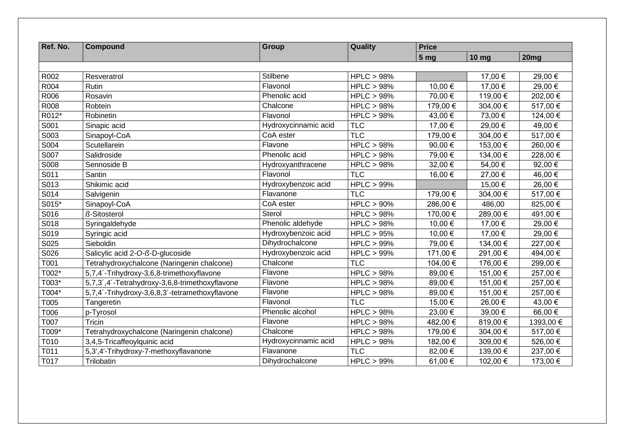| Ref. No.    | <b>Compound</b>                                | Group                | Quality       | <b>Price</b>    |                  |                  |
|-------------|------------------------------------------------|----------------------|---------------|-----------------|------------------|------------------|
|             |                                                |                      |               | 5 <sub>mg</sub> | 10 <sub>mg</sub> | 20 <sub>mg</sub> |
|             |                                                |                      |               |                 |                  |                  |
| R002        | Resveratrol                                    | Stilbene             | HPLC > 98%    |                 | 17,00 €          | 29,00 €          |
| R004        | <b>Rutin</b>                                   | Flavonol             | HPLC > 98%    | 10,00 €         | 17,00 €          | 29,00 €          |
| R006        | Rosavin                                        | Phenolic acid        | HPLC > 98%    | 70,00 €         | 119,00 €         | 202,00 €         |
| <b>R008</b> | Robtein                                        | Chalcone             | HPLC > 98%    | 179,00 €        | 304,00 €         | 517,00 €         |
| R012*       | Robinetin                                      | Flavonol             | HPLC > 98%    | 43,00 €         | 73,00 €          | 124,00 €         |
| S001        | Sinapic acid                                   | Hydroxycinnamic acid | <b>TLC</b>    | 17,00 €         | 29,00 €          | 49,00 €          |
| S003        | Sinapoyl-CoA                                   | CoA ester            | <b>TLC</b>    | 179,00 €        | 304,00 €         | 517,00 €         |
| S004        | Scutellarein                                   | Flavone              | HPLC > 98%    | 90,00 €         | 153,00 €         | 260,00€          |
| S007        | Salidroside                                    | Phenolic acid        | HPLC > 98%    | 79,00 €         | 134,00 €         | 228,00 €         |
| S008        | Sennoside B                                    | Hydroxyanthracene    | HPLC > 98%    | 32,00 €         | 54,00€           | 92,00€           |
| S011        | Santin                                         | Flavonol             | <b>TLC</b>    | 16,00 €         | 27,00 €          | 46,00 €          |
| S013        | Shikimic acid                                  | Hydroxybenzoic acid  | HPLC > 99%    |                 | 15,00 €          | 26,00 €          |
| S014        | Salvigenin                                     | Flavanone            | <b>TLC</b>    | 179,00 €        | 304,00 €         | 517,00 €         |
| S015*       | Sinapoyl-CoA                                   | CoA ester            | HPLC > 90%    | 286,00 €        | 486,00           | 825,00€          |
| S016        | ß-Sitosterol                                   | Sterol               | HPLC > 98%    | 170,00 €        | 289,00€          | 491,00 €         |
| S018        | Syringaldehyde                                 | Phenolic aldehyde    | HPLC > 98%    | 10,00 €         | 17,00 €          | 29,00 €          |
| S019        | Syringic acid                                  | Hydroxybenzoic acid  | HPLC > 95%    | 10,00 €         | 17,00 €          | 29,00 €          |
| S025        | Sieboldin                                      | Dihydrochalcone      | $HPLC > 99\%$ | 79,00 €         | 134,00 €         | 227,00 €         |
| S026        | Salicylic acid 2-O-ß-D-glucoside               | Hydroxybenzoic acid  | $HPLC > 99\%$ | 171,00 €        | 291,00 €         | 494,00 €         |
| T001        | Tetrahydroxychalcone (Naringenin chalcone)     | Chalcone             | <b>TLC</b>    | 104,00 €        | 176,00 €         | 299,00 €         |
| T002*       | 5,7,4'-Trihydroxy-3,6,8-trimethoxyflavone      | Flavone              | HPLC > 98%    | 89,00 €         | 151,00 €         | 257,00 €         |
| T003*       | 5,7,3',4'-Tetrahydroxy-3,6,8-trimethoxyflavone | Flavone              | HPLC > 98%    | 89,00 €         | 151,00 €         | 257,00 €         |
| T004*       | 5,7,4'-Trihydroxy-3,6,8,3'-tetramethoxyflavone | Flavone              | HPLC > 98%    | 89,00 €         | 151,00 €         | 257,00 €         |
| T005        | Tangeretin                                     | Flavonol             | <b>TLC</b>    | 15,00 €         | 26,00€           | 43,00 €          |
| T006        | p-Tyrosol                                      | Phenolic alcohol     | HPLC > 98%    | 23,00 €         | 39,00 €          | 66,00 €          |
| T007        | Tricin                                         | Flavone              | HPLC > 98%    | 482,00 €        | 819,00€          | 1393,00 €        |
| T009*       | Tetrahydroxychalcone (Naringenin chalcone)     | Chalcone             | HPLC > 98%    | 179,00 €        | 304,00 €         | 517,00 €         |
| T010        | 3,4,5-Tricaffeoylquinic acid                   | Hydroxycinnamic acid | HPLC > 98%    | 182,00 €        | 309,00€          | 526,00 €         |
| T011        | 5,3',4'-Trihydroxy-7-methoxyflavanone          | Flavanone            | <b>TLC</b>    | 82,00 €         | 139,00 €         | 237,00 €         |
| T017        | Trilobatin                                     | Dihydrochalcone      | HPLC > 99%    | 61,00 €         | 102,00 €         | 173,00 €         |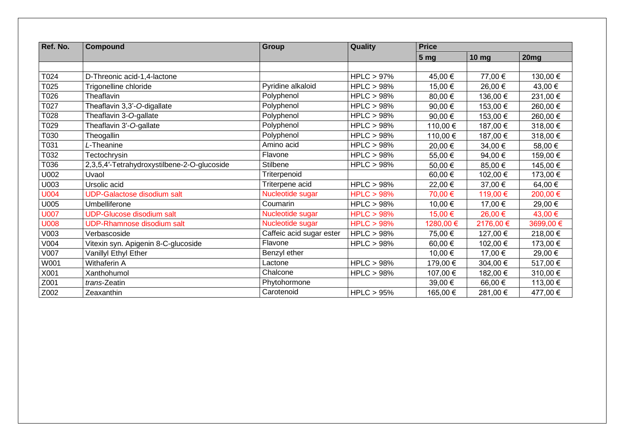| Ref. No.    | <b>Compound</b>                             | Group                    | Quality       | <b>Price</b>    |              |           |
|-------------|---------------------------------------------|--------------------------|---------------|-----------------|--------------|-----------|
|             |                                             |                          |               | 5 <sub>mg</sub> | <b>10 mg</b> | 20mg      |
|             |                                             |                          |               |                 |              |           |
| T024        | D-Threonic acid-1,4-lactone                 |                          | $HPLC > 97\%$ | 45,00 €         | 77,00 €      | 130,00 €  |
| T025        | Trigonelline chloride                       | Pyridine alkaloid        | HPLC > 98%    | 15,00 €         | 26,00 €      | 43,00 €   |
| T026        | Theaflavin                                  | Polyphenol               | HPLC > 98%    | 80,00 €         | 136,00 €     | 231,00 €  |
| T027        | Theaflavin 3,3'-O-digallate                 | Polyphenol               | HPLC > 98%    | 90,00 €         | 153,00 €     | 260,00 €  |
| T028        | Theaflavin 3-O-gallate                      | Polyphenol               | HPLC > 98%    | 90,00 €         | 153,00 €     | 260,00 €  |
| T029        | Theaflavin 3'-O-gallate                     | Polyphenol               | HPLC > 98%    | 110,00 €        | 187,00 €     | 318,00 €  |
| T030        | Theogallin                                  | Polyphenol               | HPLC > 98%    | 110,00 €        | 187,00 €     | 318,00 €  |
| T031        | L-Theanine                                  | Amino acid               | HPLC > 98%    | 20,00 €         | 34,00 €      | 58,00 €   |
| T032        | Tectochrysin                                | Flavone                  | HPLC > 98%    | 55,00 €         | 94,00€       | 159,00 €  |
| T036        | 2,3,5,4'-Tetrahydroxystilbene-2-O-glucoside | Stilbene                 | HPLC > 98%    | 50,00 €         | 85,00€       | 145,00 €  |
| U002        | Uvaol                                       | Triterpenoid             |               | 60,00 €         | 102,00 €     | 173,00 €  |
| U003        | Ursolic acid                                | Triterpene acid          | HPLC > 98%    | 22,00 €         | 37,00 €      | 64,00 €   |
| <b>U004</b> | <b>UDP-Galactose disodium salt</b>          | Nucleotide sugar         | HPLC > 98%    | 70,00 €         | 119,00 €     | 200,00 €  |
| U005        | Umbelliferone                               | Coumarin                 | HPLC > 98%    | 10,00 €         | 17,00 €      | 29,00 €   |
| <b>U007</b> | <b>UDP-Glucose disodium salt</b>            | Nucleotide sugar         | HPLC > 98%    | 15,00 €         | 26,00 €      | 43,00 €   |
| <b>U008</b> | <b>UDP-Rhamnose disodium salt</b>           | Nucleotide sugar         | HPLC > 98%    | 1280,00 €       | 2176,00 €    | 3699,00 € |
| V003        | Verbascoside                                | Caffeic acid sugar ester | HPLC > 98%    | 75,00 €         | 127,00 €     | 218,00 €  |
| V004        | Vitexin syn. Apigenin 8-C-glucoside         | Flavone                  | HPLC > 98%    | 60,00 €         | 102,00 €     | 173,00 €  |
| V007        | Vanillyl Ethyl Ether                        | Benzyl ether             |               | 10,00 €         | 17,00 €      | 29,00 €   |
| W001        | Withaferin A                                | Lactone                  | HPLC > 98%    | 179,00 €        | 304,00 €     | 517,00 €  |
| X001        | Xanthohumol                                 | Chalcone                 | HPLC > 98%    | 107,00 €        | 182,00 €     | 310,00 €  |
| Z001        | trans-Zeatin                                | Phytohormone             |               | 39,00 €         | 66,00€       | 113,00 €  |
| Z002        | Zeaxanthin                                  | Carotenoid               | HPLC > 95%    | 165,00 €        | 281,00 €     | 477,00 €  |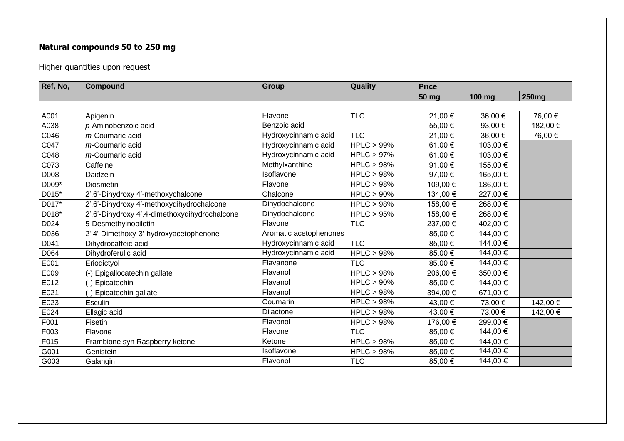## **Natural compounds 50 to 250 mg**

Higher quantities upon request

| Ref, No, | Compound                                      | <b>Group</b>           | Quality       | <b>Price</b> |            |              |
|----------|-----------------------------------------------|------------------------|---------------|--------------|------------|--------------|
|          |                                               |                        |               | 50 mg        | 100 mg     | <b>250mg</b> |
|          |                                               |                        |               |              |            |              |
| A001     | Apigenin                                      | Flavone                | <b>TLC</b>    | 21,00 €      | 36,00 €    | 76,00 €      |
| A038     | p-Aminobenzoic acid                           | Benzoic acid           |               | 55,00 €      | 93,00€     | 182,00 €     |
| C046     | m-Coumaric acid                               | Hydroxycinnamic acid   | <b>TLC</b>    | 21,00 €      | 36,00 €    | 76,00 €      |
| C047     | m-Coumaric acid                               | Hydroxycinnamic acid   | $HPLC > 99\%$ | 61,00 €      | 103,00 €   |              |
| C048     | m-Coumaric acid                               | Hydroxycinnamic acid   | $HPLC > 97\%$ | 61,00 €      | 103,00 €   |              |
| C073     | Caffeine                                      | Methylxanthine         | HPLC > 98%    | 91,00 €      | 155,00 €   |              |
| D008     | Daidzein                                      | Isoflavone             | HPLC > 98%    | 97,00 €      | 165,00 €   |              |
| D009*    | Diosmetin                                     | Flavone                | HPLC > 98%    | 109,00 €     | 186,00 €   |              |
| D015*    | 2',6'-Dihydroxy 4'-methoxychalcone            | Chalcone               | $HPLC > 90\%$ | 134,00 €     | 227,00 €   |              |
| D017*    | 2',6'-Dihydroxy 4'-methoxydihydrochalcone     | Dihydochalcone         | HPLC > 98%    | 158,00 €     | 268,00 €   |              |
| D018*    | 2',6'-Dihydroxy 4',4-dimethoxydihydrochalcone | Dihydochalcone         | HPLC > 95%    | 158,00 €     | 268,00€    |              |
| D024     | 5-Desmethylnobiletin                          | Flavone                | <b>TLC</b>    | 237,00 €     | 402,00 €   |              |
| D036     | 2',4'-Dimethoxy-3'-hydroxyacetophenone        | Aromatic acetophenones |               | 85,00 €      | 144,00 €   |              |
| D041     | Dihydrocaffeic acid                           | Hydroxycinnamic acid   | <b>TLC</b>    | 85,00 €      | 144,00 €   |              |
| D064     | Dihydroferulic acid                           | Hydroxycinnamic acid   | HPLC > 98%    | 85,00 €      | 144,00 €   |              |
| E001     | Eriodictyol                                   | Flavanone              | <b>TLC</b>    | 85,00 €      | 144,00 €   |              |
| E009     | (-) Epigallocatechin gallate                  | Flavanol               | HPLC > 98%    | 206,00 €     | 350,00€    |              |
| E012     | (-) Epicatechin                               | Flavanol               | HPLC > 90%    | 85,00 €      | 144,00 €   |              |
| E021     | (-) Epicatechin gallate                       | Flavanol               | HPLC > 98%    | 394,00 €     | 671,00 €   |              |
| E023     | Esculin                                       | Coumarin               | HPLC > 98%    | 43,00 €      | 73,00 €    | 142,00 €     |
| E024     | Ellagic acid                                  | Dilactone              | HPLC > 98%    | 43,00 €      | 73,00 €    | 142,00 €     |
| F001     | Fisetin                                       | Flavonol               | HPLC > 98%    | 176,00 €     | 299,00 €   |              |
| F003     | Flavone                                       | Flavone                | <b>TLC</b>    | 85,00€       | $144,00$ € |              |
| F015     | Frambione syn Raspberry ketone                | Ketone                 | HPLC > 98%    | 85,00 €      | 144,00 €   |              |
| G001     | Genistein                                     | Isoflavone             | HPLC > 98%    | 85,00 €      | 144,00 €   |              |
| G003     | Galangin                                      | Flavonol               | <b>TLC</b>    | 85,00 €      | 144,00 €   |              |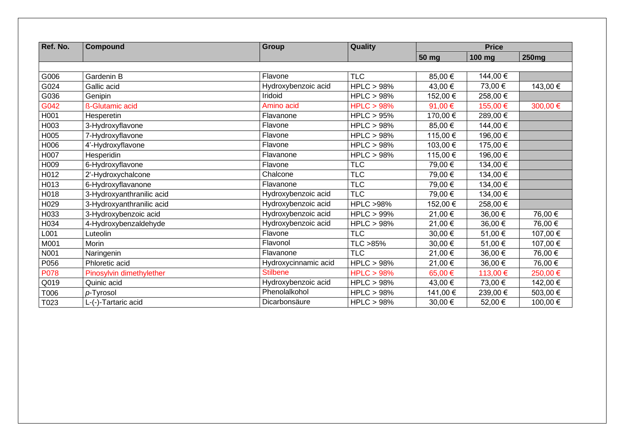| Ref. No.    | <b>Compound</b>           | Group                | Quality             |          | <b>Price</b> |              |  |
|-------------|---------------------------|----------------------|---------------------|----------|--------------|--------------|--|
|             |                           |                      |                     | 50 mg    | 100 mg       | <b>250mg</b> |  |
|             |                           |                      |                     |          |              |              |  |
| G006        | Gardenin B                | Flavone              | <b>TLC</b>          | 85,00 €  | 144,00 €     |              |  |
| G024        | Gallic acid               | Hydroxybenzoic acid  | HPLC > 98%          | 43,00 €  | 73,00 €      | 143,00 €     |  |
| G036        | Genipin                   | Iridoid              | HPLC > 98%          | 152,00 € | 258,00€      |              |  |
| G042        | ß-Glutamic acid           | Amino acid           | HPLC > 98%          | 91,00 €  | 155,00 €     | 300,00€      |  |
| H001        | Hesperetin                | Flavanone            | HPLC > 95%          | 170,00 € | 289,00 €     |              |  |
| H003        | 3-Hydroxyflavone          | Flavone              | HPLC > 98%          | 85,00 €  | 144,00 €     |              |  |
| H005        | 7-Hydroxyflavone          | Flavone              | HPLC > 98%          | 115,00 € | 196,00 €     |              |  |
| H006        | 4'-Hydroxyflavone         | Flavone              | HPLC > 98%          | 103,00 € | 175,00 €     |              |  |
| H007        | Hesperidin                | Flavanone            | HPLC > 98%          | 115,00 € | 196,00 €     |              |  |
| H009        | 6-Hydroxyflavone          | Flavone              | <b>TLC</b>          | 79,00 €  | 134,00 €     |              |  |
| H012        | 2'-Hydroxychalcone        | Chalcone             | <b>TLC</b>          | 79,00 €  | 134,00 €     |              |  |
| H013        | 6-Hydroxyflavanone        | Flavanone            | <b>TLC</b>          | 79,00 €  | 134,00 €     |              |  |
| H018        | 3-Hydroxyanthranilic acid | Hydroxybenzoic acid  | <b>TLC</b>          | 79,00 €  | 134,00 €     |              |  |
| H029        | 3-Hydroxyanthranilic acid | Hydroxybenzoic acid  | <b>HPLC &gt;98%</b> | 152,00 € | 258,00€      |              |  |
| H033        | 3-Hydroxybenzoic acid     | Hydroxybenzoic acid  | HPLC > 99%          | 21,00 €  | 36,00 €      | 76,00 €      |  |
| H034        | 4-Hydroxybenzaldehyde     | Hydroxybenzoic acid  | HPLC > 98%          | 21,00 €  | 36,00 €      | 76,00 €      |  |
| L001        | Luteolin                  | Flavone              | <b>TLC</b>          | 30,00 €  | 51,00 €      | 107,00 €     |  |
| M001        | Morin                     | Flavonol             | TLC >85%            | 30,00 €  | 51,00 €      | 107,00 €     |  |
| N001        | Naringenin                | Flavanone            | <b>TLC</b>          | 21,00 €  | 36,00 €      | 76,00 €      |  |
| P056        | Phloretic acid            | Hydroxycinnamic acid | HPLC > 98%          | 21,00 €  | 36,00 €      | 76,00 €      |  |
| <b>P078</b> | Pinosylvin dimethylether  | <b>Stilbene</b>      | HPLC > 98%          | 65,00 €  | 113,00 €     | 250,00 €     |  |
| Q019        | Quinic acid               | Hydroxybenzoic acid  | HPLC > 98%          | 43,00 €  | 73,00 €      | 142,00 €     |  |
| T006        | p-Tyrosol                 | Phenolalkohol        | HPLC > 98%          | 141,00 € | 239,00 €     | 503,00 €     |  |
| T023        | L-(-)-Tartaric acid       | Dicarbonsäure        | HPLC > 98%          | 30,00 €  | 52,00 €      | 100,00 €     |  |